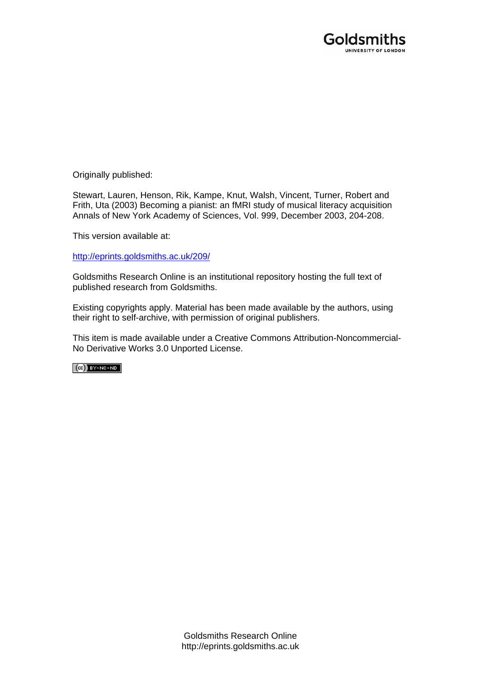

Originally published:

Stewart, Lauren, Henson, Rik, Kampe, Knut, Walsh, Vincent, Turner, Robert and Frith, Uta (2003) Becoming a pianist: an fMRI study of musical literacy acquisition Annals of New York Academy of Sciences, Vol. 999, December 2003, 204-208.

This version available at:

[http://eprints.goldsmiths.ac.uk/209/](http://eprints.goldsmiths.ac.uk/211/)

Goldsmiths Research Online is an institutional repository hosting the full text of published research from Goldsmiths.

Existing copyrights apply. Material has been made available by the authors, using their right to self-archive, with permission of original publishers.

This item is made available under a Creative Commons Attribution-Noncommercial-No Derivative Works 3.0 Unported License.

 $(Cc)$  BY-NC-ND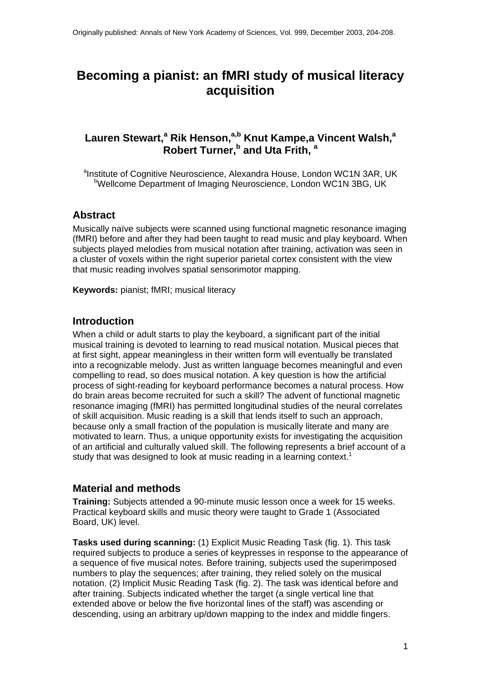# **Becoming a pianist: an fMRI study of musical literacy acquisition**

## Lauren Stewart,<sup>a</sup> Rik Henson,<sup>a,b</sup> Knut Kampe,a Vincent Walsh,<sup>a</sup> **Robert Turner,<sup>b</sup> and Uta Frith, a**

<sup>a</sup>Institute of Cognitive Neuroscience, Alexandra House, London WC1N 3AR, UK <sup>b</sup>Wellcome Department of Imaging Neuroscience, London WC1N 3BG, UK

## **Abstract**

Musically naïve subjects were scanned using functional magnetic resonance imaging (fMRI) before and after they had been taught to read music and play keyboard. When subjects played melodies from musical notation after training, activation was seen in a cluster of voxels within the right superior parietal cortex consistent with the view that music reading involves spatial sensorimotor mapping.

**Keywords:** pianist; fMRI; musical literacy

#### **Introduction**

When a child or adult starts to play the keyboard, a significant part of the initial musical training is devoted to learning to read musical notation. Musical pieces that at first sight, appear meaningless in their written form will eventually be translated into a recognizable melody. Just as written language becomes meaningful and even compelling to read, so does musical notation. A key question is how the artificial process of sight-reading for keyboard performance becomes a natural process. How do brain areas become recruited for such a skill? The advent of functional magnetic resonance imaging (fMRI) has permitted longitudinal studies of the neural correlates of skill acquisition. Music reading is a skill that lends itself to such an approach, because only a small fraction of the population is musically literate and many are motivated to learn. Thus, a unique opportunity exists for investigating the acquisition of an artificial and culturally valued skill. The following represents a brief account of a study that was designed to look at music reading in a learning context.<sup>1</sup>

## **Material and methods**

**Training:** Subjects attended a 90-minute music lesson once a week for 15 weeks. Practical keyboard skills and music theory were taught to Grade 1 (Associated Board, UK) level.

**Tasks used during scanning:** (1) Explicit Music Reading Task (fig. 1). This task required subjects to produce a series of keypresses in response to the appearance of a sequence of five musical notes. Before training, subjects used the superimposed numbers to play the sequences; after training, they relied solely on the musical notation. (2) Implicit Music Reading Task (fig. 2). The task was identical before and after training. Subjects indicated whether the target (a single vertical line that extended above or below the five horizontal lines of the staff) was ascending or descending, using an arbitrary up/down mapping to the index and middle fingers.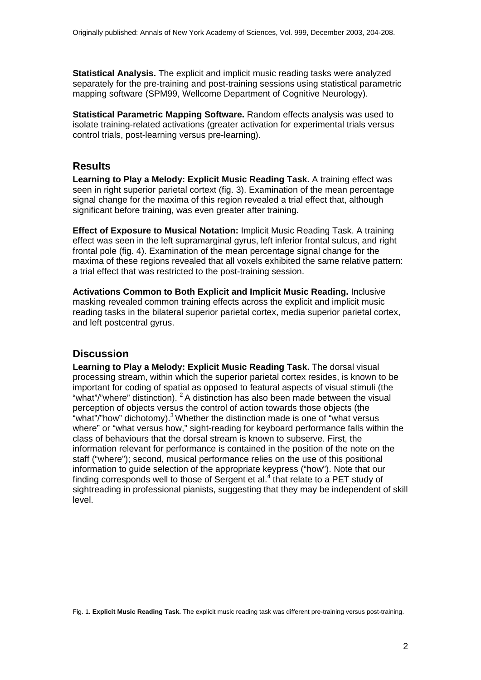**Statistical Analysis.** The explicit and implicit music reading tasks were analyzed separately for the pre-training and post-training sessions using statistical parametric mapping software (SPM99, Wellcome Department of Cognitive Neurology).

**Statistical Parametric Mapping Software.** Random effects analysis was used to isolate training-related activations (greater activation for experimental trials versus control trials, post-learning versus pre-learning).

## **Results**

**Learning to Play a Melody: Explicit Music Reading Task.** A training effect was seen in right superior parietal cortext (fig. 3). Examination of the mean percentage signal change for the maxima of this region revealed a trial effect that, although significant before training, was even greater after training.

**Effect of Exposure to Musical Notation:** Implicit Music Reading Task. A training effect was seen in the left supramarginal gyrus, left inferior frontal sulcus, and right frontal pole (fig. 4). Examination of the mean percentage signal change for the maxima of these regions revealed that all voxels exhibited the same relative pattern: a trial effect that was restricted to the post-training session.

**Activations Common to Both Explicit and Implicit Music Reading.** Inclusive masking revealed common training effects across the explicit and implicit music reading tasks in the bilateral superior parietal cortex, media superior parietal cortex, and left postcentral gyrus.

# **Discussion**

**Learning to Play a Melody: Explicit Music Reading Task.** The dorsal visual processing stream, within which the superior parietal cortex resides, is known to be important for coding of spatial as opposed to featural aspects of visual stimuli (the "what"/"where" distinction).  $2A$  distinction has also been made between the visual perception of objects versus the control of action towards those objects (the "what"/"how" dichotomy).<sup>3</sup> Whether the distinction made is one of "what versus where" or "what versus how," sight-reading for keyboard performance falls within the class of behaviours that the dorsal stream is known to subserve. First, the information relevant for performance is contained in the position of the note on the staff ("where"); second, musical performance relies on the use of this positional information to guide selection of the appropriate keypress ("how"). Note that our finding corresponds well to those of Sergent et al. $<sup>4</sup>$  that relate to a PET study of</sup> sightreading in professional pianists, suggesting that they may be independent of skill level.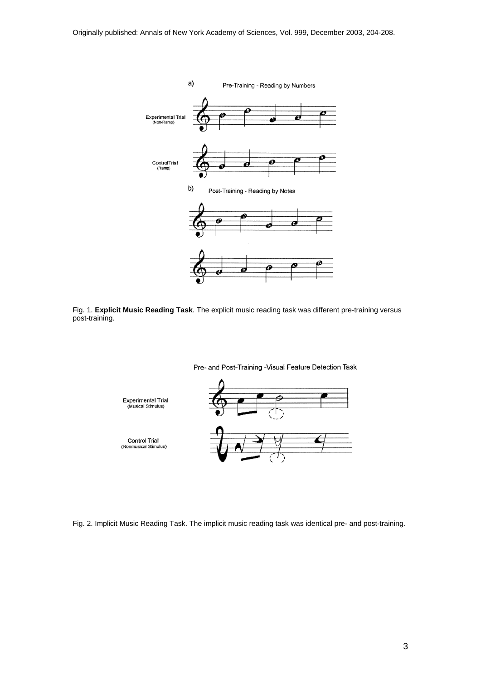

Fig. 1. **Explicit Music Reading Task**. The explicit music reading task was different pre-training versus post-training.



Fig. 2. Implicit Music Reading Task. The implicit music reading task was identical pre- and post-training.

3